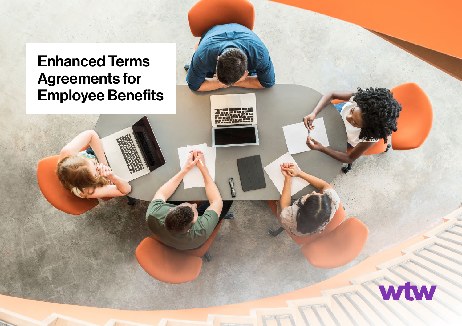# Enhanced Terms Agreements for Employee Benefits

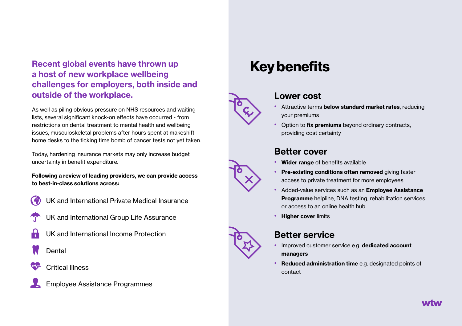### Recent global events have thrown up a host of new workplace wellbeing challenges for employers, both inside and outside of the workplace.

As well as piling obvious pressure on NHS resources and waiting lists, several significant knock-on effects have occurred - from restrictions on dental treatment to mental health and wellbeing issues, musculoskeletal problems after hours spent at makeshift home desks to the ticking time bomb of cancer tests not yet taken.

Today, hardening insurance markets may only increase budget uncertainty in benefit expenditure.

#### Following a review of leading providers, we can provide access to best-in-class solutions across:

- 
- UK and International Private Medical Insurance
- UK and International Group Life Assurance
- UK and International Income Protection
- Dental
- Critical Illness



### Key benefits



#### Lower cost

- Attractive terms below standard market rates, reducing your premiums
- Option to fix premiums beyond ordinary contracts, providing cost certainty

#### Better cover

- Wider range of benefits available
- Pre-existing conditions often removed giving faster access to private treatment for more employees
- Added-value services such as an Employee Assistance Programme helpline, DNA testing, rehabilitation services or access to an online health hub
- Higher cover limits



#### Better service

- Improved customer service e.g. dedicated account managers
- Reduced administration time e.g. designated points of contact



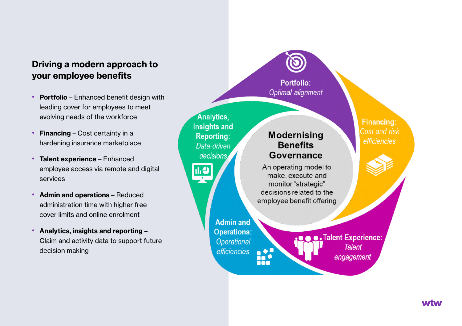### Driving a modern approach to your employee benefits

- Portfolio Enhanced benefit design with leading cover for employees to meet evolving needs of the workforce
- Financing Cost certainty in a hardening insurance marketplace
- Talent experience Enhanced employee access via remote and digital services
- Admin and operations Reduced administration time with higher free cover limits and online enrolment
- Analytics, insights and reporting Claim and activity data to support future decision making